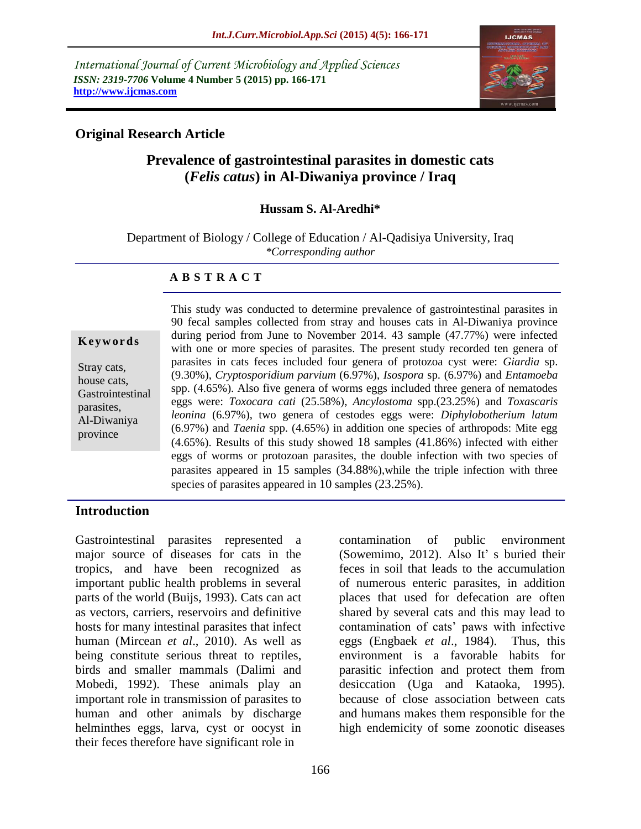*International Journal of Current Microbiology and Applied Sciences ISSN: 2319-7706* **Volume 4 Number 5 (2015) pp. 166-171 http://www.ijcmas.com**



### **Original Research Article**

# **Prevalence of gastrointestinal parasites in domestic cats (***Felis catus***) in Al-Diwaniya province / Iraq**

#### **Hussam S. Al-Aredhi\***

Department of Biology / College of Education / Al-Qadisiya University, Iraq *\*Corresponding author*

#### **A B S T R A C T**

#### **K e y w o r d s**

Stray cats, house cats, Gastrointestinal parasites, Al-Diwaniya province

This study was conducted to determine prevalence of gastrointestinal parasites in 90 fecal samples collected from stray and houses cats in Al-Diwaniya province during period from June to November 2014. 43 sample (47.77%) were infected with one or more species of parasites. The present study recorded ten genera of parasites in cats feces included four genera of protozoa cyst were: *Giardia* sp. (9.30%), *Cryptosporidium parvium* (6.97%), *Isospora* sp. (6.97%) and *Entamoeba* spp. (4.65%). Also five genera of worms eggs included three genera of nematodes eggs were: *Toxocara cati* (25.58%), *Ancylostoma* spp.(23.25%) and *Toxascaris leonina* (6.97%), two genera of cestodes eggs were: *Diphylobotherium latum* (6.97%) and *Taenia* spp. (4.65%) in addition one species of arthropods: Mite egg (4.65%). Results of this study showed 18 samples (41.86%) infected with either eggs of worms or protozoan parasites, the double infection with two species of parasites appeared in 15 samples (34.88%),while the triple infection with three species of parasites appeared in 10 samples (23.25%).

### **Introduction**

Gastrointestinal parasites represented a major source of diseases for cats in the tropics, and have been recognized as important public health problems in several parts of the world (Buijs, 1993). Cats can act as vectors, carriers, reservoirs and definitive hosts for many intestinal parasites that infect human (Mircean *et al*., 2010). As well as being constitute serious threat to reptiles, birds and smaller mammals (Dalimi and Mobedi, 1992). These animals play an important role in transmission of parasites to human and other animals by discharge helminthes eggs, larva, cyst or oocyst in their feces therefore have significant role in

contamination of public environment (Sowemimo, 2012). Also It' s buried their feces in soil that leads to the accumulation of numerous enteric parasites, in addition places that used for defecation are often shared by several cats and this may lead to contamination of cats' paws with infective eggs (Engbaek *et al*., 1984). Thus, this environment is a favorable habits for parasitic infection and protect them from desiccation (Uga and Kataoka, 1995). because of close association between cats and humans makes them responsible for the high endemicity of some zoonotic diseases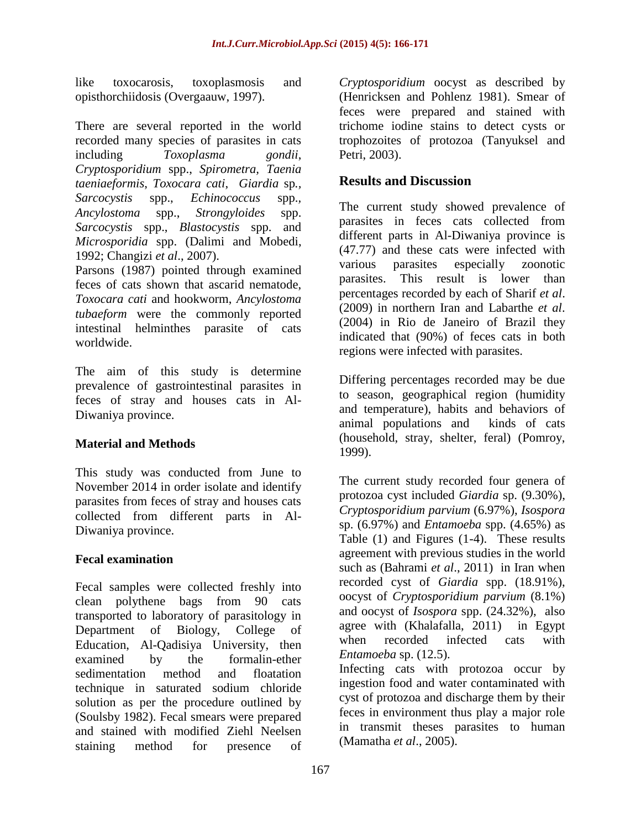like toxocarosis, toxoplasmosis and opisthorchiidosis (Overgaauw, 1997).

There are several reported in the world recorded many species of parasites in cats including *Toxoplasma gondii*, *Cryptosporidium* spp., *Spirometra, Taenia taeniaeformis*, *Toxocara cati*, *Giardia* sp*., Sarcocystis* spp., *Echinococcus* spp.*, Ancylostoma* spp., *Strongyloides* spp. *Sarcocystis* spp., *Blastocystis* spp. and *Microsporidia* spp. (Dalimi and Mobedi, 1992; Changizi *et al*., 2007).

Parsons (1987) pointed through examined feces of cats shown that ascarid nematode, *Toxocara cati* and hookworm, *Ancylostoma tubaeform* were the commonly reported intestinal helminthes parasite of cats worldwide.

The aim of this study is determine prevalence of gastrointestinal parasites in feces of stray and houses cats in Al-Diwaniya province.

## **Material and Methods**

This study was conducted from June to November 2014 in order isolate and identify parasites from feces of stray and houses cats collected from different parts in Al-Diwaniya province.

## **Fecal examination**

Fecal samples were collected freshly into clean polythene bags from 90 cats transported to laboratory of parasitology in Department of Biology, College of Education, Al-Qadisiya University, then examined by the formalin-ether sedimentation method and floatation technique in saturated sodium chloride solution as per the procedure outlined by (Soulsby 1982). Fecal smears were prepared and stained with modified Ziehl Neelsen staining method for presence of

*Cryptosporidium* oocyst as described by (Henricksen and Pohlenz 1981). Smear of feces were prepared and stained with trichome iodine stains to detect cysts or trophozoites of protozoa (Tanyuksel and Petri, 2003).

# **Results and Discussion**

The current study showed prevalence of parasites in feces cats collected from different parts in Al-Diwaniya province is (47.77) and these cats were infected with various parasites especially zoonotic parasites. This result is lower than percentages recorded by each of Sharif *et al*. (2009) in northern Iran and Labarthe *et al*. (2004) in Rio de Janeiro of Brazil they indicated that (90%) of feces cats in both regions were infected with parasites.

Differing percentages recorded may be due to season, geographical region (humidity and temperature), habits and behaviors of animal populations and kinds of cats (household, stray, shelter, feral) (Pomroy, 1999).

The current study recorded four genera of protozoa cyst included *Giardia* sp. (9.30%), *Cryptosporidium parvium* (6.97%), *Isospora*  sp. (6.97%) and *Entamoeba* spp. (4.65%) as Table (1) and Figures (1-4). These results agreement with previous studies in the world such as (Bahrami *et al*., 2011) in Iran when recorded cyst of *Giardia* spp. (18.91%), oocyst of *Cryptosporidium parvium* (8.1%) and oocyst of *Isospora* spp. (24.32%), also agree with (Khalafalla, 2011) in Egypt when recorded infected cats with *Entamoeba* sp. (12.5).

Infecting cats with protozoa occur by ingestion food and water contaminated with cyst of protozoa and discharge them by their feces in environment thus play a major role in transmit theses parasites to human (Mamatha *et al*., 2005).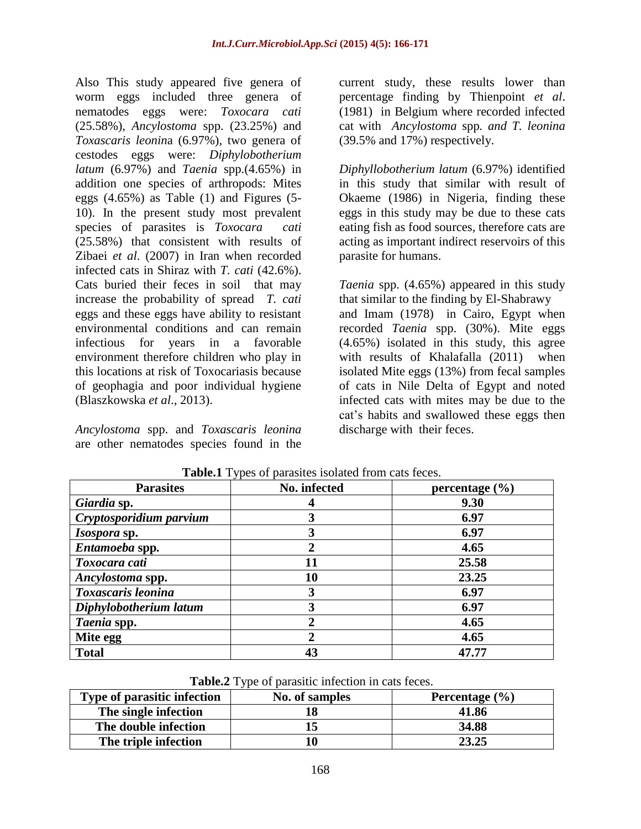Also This study appeared five genera of worm eggs included three genera of nematodes eggs were: *Toxocara cati* (25.58%), *Ancylostoma* spp. (23.25%) and *Toxascaris leonin*a (6.97%), two genera of cestodes eggs were: *Diphylobotherium latum* (6.97%) and *Taenia* spp.(4.65%) in addition one species of arthropods: Mites eggs (4.65%) as Table (1) and Figures (5- 10). In the present study most prevalent species of parasites is *Toxocara cati* (25.58%) that consistent with results of Zibaei *et al*. (2007) in Iran when recorded infected cats in Shiraz with *T. cati* (42.6%). Cats buried their feces in soil that may increase the probability of spread *T. cati*  eggs and these eggs have ability to resistant environmental conditions and can remain infectious for years in a favorable environment therefore children who play in this locations at risk of Toxocariasis because of geophagia and poor individual hygiene (Blaszkowska *et al*., 2013).

*Ancylostoma* spp. and *Toxascaris leonina* are other nematodes species found in the

current study, these results lower than percentage finding by Thienpoint *et al*. (1981) in Belgium where recorded infected cat with *Ancylostoma* spp*. and T. leonina*  (39.5% and 17%) respectively.

*Diphyllobotherium latum* (6.97%) identified in this study that similar with result of Okaeme (1986) in Nigeria, finding these eggs in this study may be due to these cats eating fish as food sources, therefore cats are acting as important indirect reservoirs of this parasite for humans.

*Taenia* spp. (4.65%) appeared in this study that similar to the finding by El-Shabrawy and Imam (1978) in Cairo, Egypt when recorded *Taenia* spp. (30%). Mite eggs (4.65%) isolated in this study, this agree with results of Khalafalla (2011) when isolated Mite eggs (13%) from fecal samples of cats in Nile Delta of Egypt and noted infected cats with mites may be due to the cat's habits and swallowed these eggs then discharge with their feces.

| <b>Parasites</b>        | No. infected | percentage $(\% )$ |
|-------------------------|--------------|--------------------|
| Giardia sp.             |              | 9.30               |
| Cryptosporidium parvium |              | 6.97               |
| <i>Isospora</i> sp.     |              | 6.97               |
| Entamoeba spp.          |              | 4.65               |
| Toxocara cati           |              | 25.58              |
| Ancylostoma spp.        | 10           | 23.25              |
| Toxascaris leonina      |              | 6.97               |
| Diphylobotherium latum  |              | 6.97               |
| Taenia spp.             |              | 4.65               |
| Mite egg                |              | 4.65               |
| <b>Total</b>            |              | 47.77              |

Table.1 Types of parasites isolated from cats feces.

**Table.2** Type of parasitic infection in cats feces.

| Type of parasitic infection | No. of samples | Percentage $(\% )$ |
|-----------------------------|----------------|--------------------|
| The single infection        |                | 41.86              |
| The double infection        |                | 34.88              |
| The triple infection        |                | 23.25              |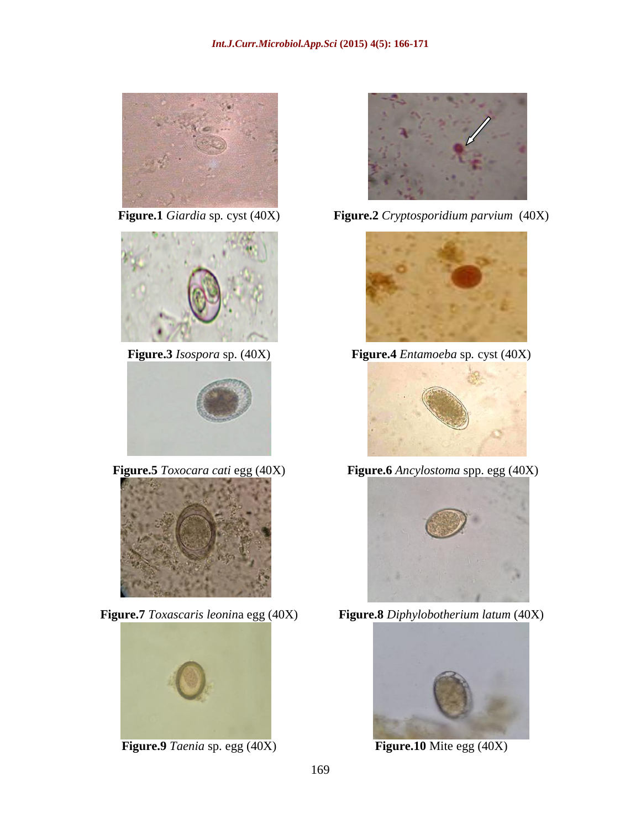









**Figure.9** *Taenia* sp. egg (40X) **Figure.10** Mite egg (40X)



**Figure.1** *Giardia* sp*.* cyst (40X) **Figure.2** *Cryptosporidium parvium* (40X)



**Figure.3** *Isospora* sp. (40X) **Figure.4** *Entamoeba* sp*.* cyst (40X)



**Figure.5** *Toxocara cati* egg (40X) **Figure.6** *Ancylostoma* spp. egg (40X)



**Figure.7** *Toxascaris leonin*a egg (40X) **Figure.8** *Diphylobotherium latum* (40X)

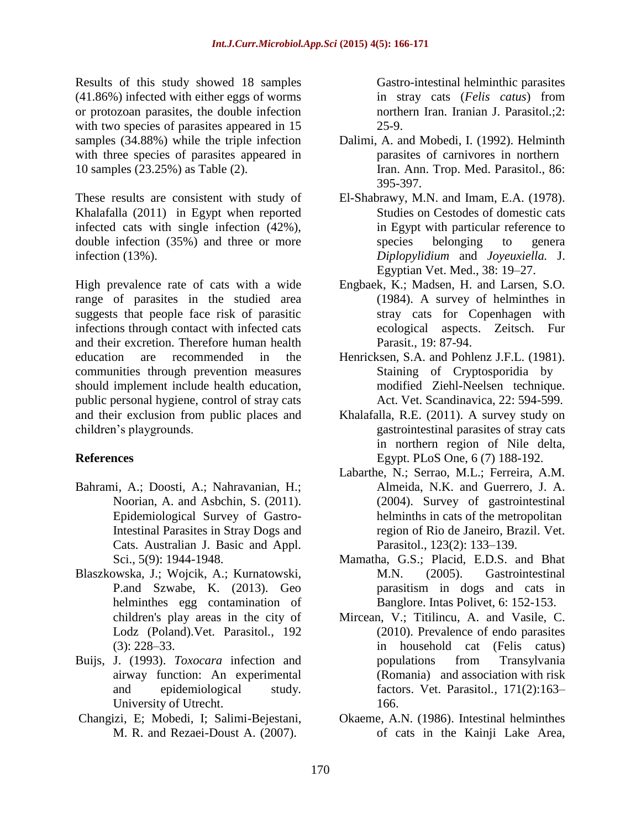Results of this study showed 18 samples (41.86%) infected with either eggs of worms or protozoan parasites, the double infection with two species of parasites appeared in 15 samples (34.88%) while the triple infection with three species of parasites appeared in 10 samples (23.25%) as Table (2).

These results are consistent with study of Khalafalla (2011) in Egypt when reported infected cats with single infection (42%), double infection (35%) and three or more infection (13%).

High prevalence rate of cats with a wide range of parasites in the studied area suggests that people face risk of parasitic infections through contact with infected cats and their excretion. Therefore human health education are recommended in the communities through prevention measures should implement include health education, public personal hygiene, control of stray cats and their exclusion from public places and children's playgrounds.

### **References**

- Bahrami, A.; Doosti, A.; Nahravanian, H.; Noorian, A. and Asbchin, S. (2011). Epidemiological Survey of Gastro-Intestinal Parasites in Stray Dogs and Cats. Australian J. Basic and Appl. Sci., 5(9): 1944-1948.
- Blaszkowska, J.; Wojcik, A.; Kurnatowski, P.and Szwabe, K. (2013). Geo helminthes egg contamination of children's play areas in the city of Lodz (Poland).Vet. Parasitol*.*, 192 (3): 228–33.
- Buijs, J. (1993). *Toxocara* infection and airway function: An experimental and epidemiological study. University of Utrecht.
- Changizi, E; Mobedi, I; Salimi-Bejestani, M. R. and Rezaei-Doust A. (2007).

Gastro-intestinal helminthic parasites in stray cats (*Felis catus*) from northern Iran. Iranian J. Parasitol.;2: 25-9.

- Dalimi, A. and Mobedi, I. (1992). Helminth parasites of carnivores in northern Iran. Ann. Trop. Med. Parasitol., 86: 395-397.
- El-Shabrawy, M.N. and Imam, E.A. (1978). Studies on Cestodes of domestic cats in Egypt with particular reference to species belonging to genera *Diplopylidium* and *Joyeuxiella.* J. Egyptian Vet. Med., 38: 19–27.
- Engbaek, K.; Madsen, H. and Larsen, S.O. (1984). A survey of helminthes in stray cats for Copenhagen with ecological aspects. Zeitsch. Fur Parasit., 19: 87-94.
- Henricksen, S.A. and Pohlenz J.F.L. (1981). Staining of Cryptosporidia by modified Ziehl-Neelsen technique. Act. Vet. Scandinavica, 22: 594-599.
- Khalafalla, R.E. (2011). A survey study on gastrointestinal parasites of stray cats in northern region of Nile delta, Egypt. PLoS One, 6 (7) 188-192.
- Labarthe, N.; Serrao, M.L.; Ferreira, A.M. Almeida, N.K. and Guerrero, J. A. (2004). Survey of gastrointestinal helminths in cats of the metropolitan region of Rio de Janeiro, Brazil. Vet. Parasitol., 123(2): 133–139.
- Mamatha, G.S.; Placid, E.D.S. and Bhat M.N. (2005). Gastrointestinal parasitism in dogs and cats in Banglore. Intas Polivet, 6: 152-153.
- Mircean, V.; Titilincu, A. and Vasile, C. (2010). Prevalence of endo parasites in household cat (Felis catus) populations from Transylvania (Romania) and association with risk factors. Vet. Parasitol*.,* 171(2):163– 166.
- Okaeme, A.N. (1986). Intestinal helminthes of cats in the Kainji Lake Area,